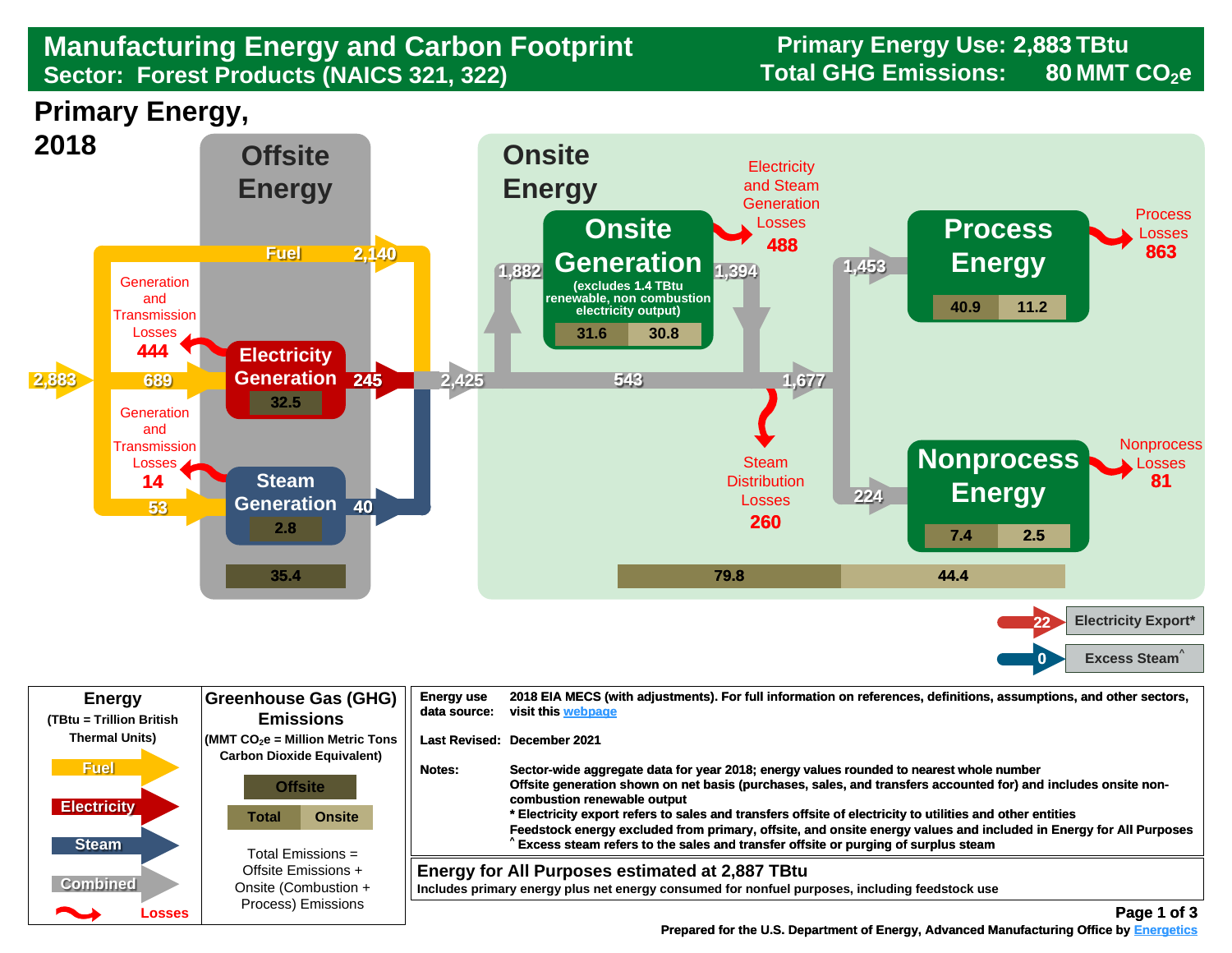## **Sector: Forest Products (NAICS 321, 322) Total GHG Emissions: 80 MMT CO2e Manufacturing Energy and Carbon Footprint Frimary Energy Use: 2<br>Sector: Forest Products (NAICS 321, 322) Total GHG Emissions:**

**Primary Energy Use: 2,883 TBtu 80**

**Primary Energy,** 



| <b>Energy</b><br>(TBtu = Trillion British                                  | Greenhouse Gas (GHG)<br><b>Emissions</b>                                                                                                                                                                                                         | <b>Energy use</b><br>data source: | 2018 EIA MECS (with adjustments). For full information on references, definitions, assumptions, and other sectors,<br>visit this webpage                                                                                                                                                                                                                                                                                                                                                                                                                                                       |
|----------------------------------------------------------------------------|--------------------------------------------------------------------------------------------------------------------------------------------------------------------------------------------------------------------------------------------------|-----------------------------------|------------------------------------------------------------------------------------------------------------------------------------------------------------------------------------------------------------------------------------------------------------------------------------------------------------------------------------------------------------------------------------------------------------------------------------------------------------------------------------------------------------------------------------------------------------------------------------------------|
| <b>Thermal Units)</b><br><b>Fuel</b><br><b>Electricity</b><br><b>Steam</b> | $\sqrt{\frac{1}{100}}$ (MMT CO <sub>2</sub> e = Million Metric Tons<br><b>Carbon Dioxide Equivalent)</b><br><b>Offsite</b><br><b>Onsite</b><br>Total<br>Total Emissions $=$<br>Offsite Emissions +<br>Onsite (Combustion +<br>Process) Emissions | <b>Notes:</b>                     | Last Revised: December 2021<br>Sector-wide aggregate data for year 2018; energy values rounded to nearest whole number<br>Offsite generation shown on net basis (purchases, sales, and transfers accounted for) and includes onsite non-<br>combustion renewable output<br>* Electricity export refers to sales and transfers offsite of electricity to utilities and other entities<br>Feedstock energy excluded from primary, offsite, and onsite energy values and included in Energy for All Purposes<br>Excess steam refers to the sales and transfer offsite or purging of surplus steam |
| <b>Combined</b><br>◚<br>Losses                                             |                                                                                                                                                                                                                                                  |                                   | Energy for All Purposes estimated at 2,887 TBtu<br>Includes primary energy plus net energy consumed for nonfuel purposes, including feedstock use<br>Page 1 of 3                                                                                                                                                                                                                                                                                                                                                                                                                               |

 **[Prepared for the U.S. Department of Energy, Advanced Manufacturing Office by Energetics](https://www.energetics.com/) Manufacturing Energetics**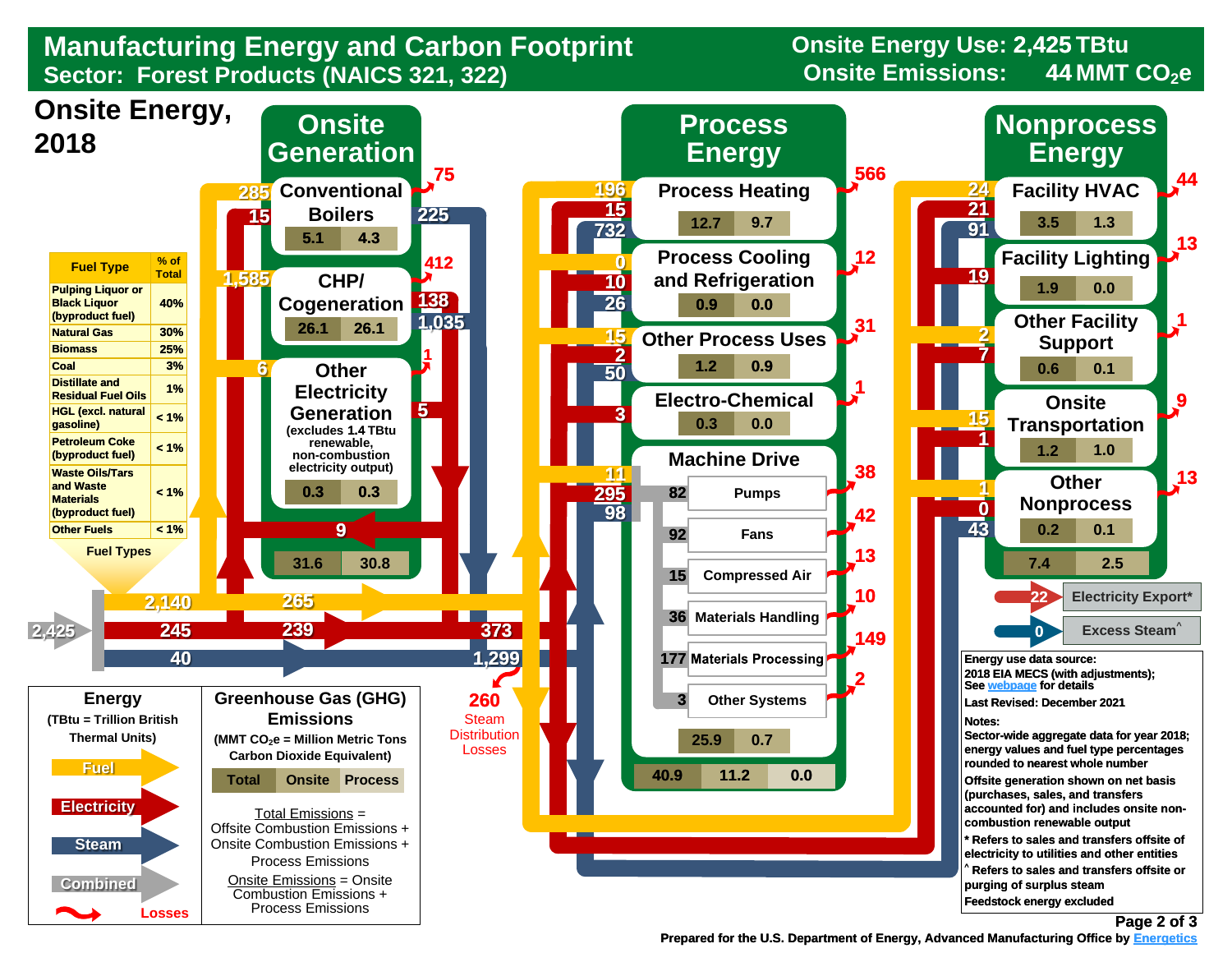

**Onsite Energy Use: 2,425 TBtu 44**